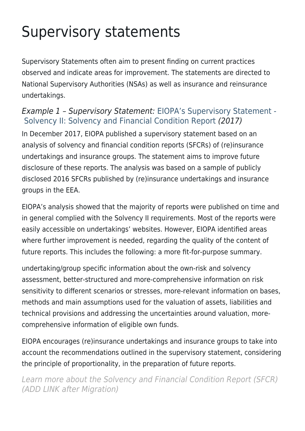## Supervisory statements

Supervisory Statements often aim to present finding on current practices observed and indicate areas for improvement. The statements are directed to National Supervisory Authorities (NSAs) as well as insurance and reinsurance undertakings.

## Example 1 – Supervisory Statement: [EIOPA's Supervisory Statement -](https://www.eiopa.europa.eu/sites/default/files/publications/supervisory_statements/eiopa-bos-17-310-sfcr_supervisory_statement.pdf)  [Solvency II: Solvency and Financial Condition Report](https://www.eiopa.europa.eu/sites/default/files/publications/supervisory_statements/eiopa-bos-17-310-sfcr_supervisory_statement.pdf) (2017)

In December 2017, EIOPA published a supervisory statement based on an analysis of solvency and financial condition reports (SFCRs) of (re)insurance undertakings and insurance groups. The statement aims to improve future disclosure of these reports. The analysis was based on a sample of publicly disclosed 2016 SFCRs published by (re)insurance undertakings and insurance groups in the EEA.

EIOPA's analysis showed that the majority of reports were published on time and in general complied with the Solvency II requirements. Most of the reports were easily accessible on undertakings' websites. However, EIOPA identified areas where further improvement is needed, regarding the quality of the content of future reports. This includes the following: a more fit-for-purpose summary.

undertaking/group specific information about the own-risk and solvency assessment, better-structured and more-comprehensive information on risk sensitivity to different scenarios or stresses, more-relevant information on bases, methods and main assumptions used for the valuation of assets, liabilities and technical provisions and addressing the uncertainties around valuation, morecomprehensive information of eligible own funds.

EIOPA encourages (re)insurance undertakings and insurance groups to take into account the recommendations outlined in the supervisory statement, considering the principle of proportionality, in the preparation of future reports.

Learn more about the Solvency and Financial Condition Report (SFCR) (ADD LINK after Migration)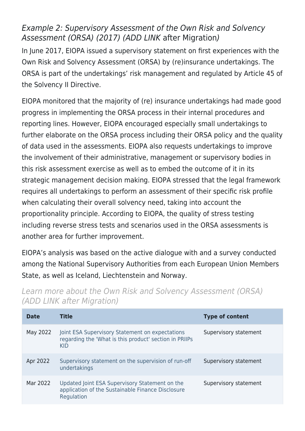## Example 2: Supervisory Assessment of the Own Risk and Solvency Assessment (ORSA) (2017) (ADD LINK after Migration)

In June 2017, EIOPA issued a supervisory statement on first experiences with the Own Risk and Solvency Assessment (ORSA) by (re)insurance undertakings. The ORSA is part of the undertakings' risk management and regulated by Article 45 of the Solvency II Directive.

EIOPA monitored that the majority of (re) insurance undertakings had made good progress in implementing the ORSA process in their internal procedures and reporting lines. However, EIOPA encouraged especially small undertakings to further elaborate on the ORSA process including their ORSA policy and the quality of data used in the assessments. EIOPA also requests undertakings to improve the involvement of their administrative, management or supervisory bodies in this risk assessment exercise as well as to embed the outcome of it in its strategic management decision making. EIOPA stressed that the legal framework requires all undertakings to perform an assessment of their specific risk profile when calculating their overall solvency need, taking into account the proportionality principle. According to EIOPA, the quality of stress testing including reverse stress tests and scenarios used in the ORSA assessments is another area for further improvement.

EIOPA's analysis was based on the active dialogue with and a survey conducted among the National Supervisory Authorities from each European Union Members State, as well as Iceland, Liechtenstein and Norway.

| <b>Date</b> | Title                                                                                                             | <b>Type of content</b> |
|-------------|-------------------------------------------------------------------------------------------------------------------|------------------------|
| May 2022    | Joint ESA Supervisory Statement on expectations<br>regarding the 'What is this product' section in PRIIPs<br>KID  | Supervisory statement  |
| Apr 2022    | Supervisory statement on the supervision of run-off<br>undertakings                                               | Supervisory statement  |
| Mar 2022    | Updated Joint ESA Supervisory Statement on the<br>application of the Sustainable Finance Disclosure<br>Regulation | Supervisory statement  |

Learn more about the Own Risk and Solvency Assessment (ORSA) (ADD LINK after Migration)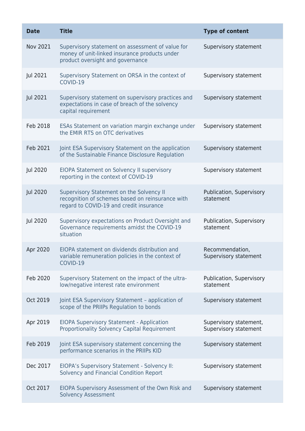| <b>Date</b> | <b>Title</b>                                                                                                                            | <b>Type of content</b>                          |
|-------------|-----------------------------------------------------------------------------------------------------------------------------------------|-------------------------------------------------|
| Nov 2021    | Supervisory statement on assessment of value for<br>money of unit-linked insurance products under<br>product oversight and governance   | Supervisory statement                           |
| Jul 2021    | Supervisory Statement on ORSA in the context of<br>COVID-19                                                                             | Supervisory statement                           |
| Jul 2021    | Supervisory statement on supervisory practices and<br>expectations in case of breach of the solvency<br>capital requirement             | Supervisory statement                           |
| Feb 2018    | ESAs Statement on variation margin exchange under<br>the EMIR RTS on OTC derivatives                                                    | Supervisory statement                           |
| Feb 2021    | Joint ESA Supervisory Statement on the application<br>of the Sustainable Finance Disclosure Regulation                                  | Supervisory statement                           |
| Jul 2020    | EIOPA Statement on Solvency II supervisory<br>reporting in the context of COVID-19                                                      | Supervisory statement                           |
| Jul 2020    | Supervisory Statement on the Solvency II<br>recognition of schemes based on reinsurance with<br>regard to COVID-19 and credit insurance | Publication, Supervisory<br>statement           |
| Jul 2020    | Supervisory expectations on Product Oversight and<br>Governance requirements amidst the COVID-19<br>situation                           | Publication, Supervisory<br>statement           |
| Apr 2020    | EIOPA statement on dividends distribution and<br>variable remuneration policies in the context of<br>COVID-19                           | Recommendation,<br>Supervisory statement        |
| Feb 2020    | Supervisory Statement on the impact of the ultra-<br>low/negative interest rate environment                                             | Publication, Supervisory<br>statement           |
| Oct 2019    | Joint ESA Supervisory Statement - application of<br>scope of the PRIIPs Regulation to bonds                                             | Supervisory statement                           |
| Apr 2019    | <b>EIOPA Supervisory Statement - Application</b><br><b>Proportionality Solvency Capital Requirement</b>                                 | Supervisory statement,<br>Supervisory statement |
| Feb 2019    | Joint ESA supervisory statement concerning the<br>performance scenarios in the PRIIPs KID                                               | Supervisory statement                           |
| Dec 2017    | EIOPA's Supervisory Statement - Solvency II:<br>Solvency and Financial Condition Report                                                 | Supervisory statement                           |
| Oct 2017    | EIOPA Supervisory Assessment of the Own Risk and<br><b>Solvency Assessment</b>                                                          | Supervisory statement                           |